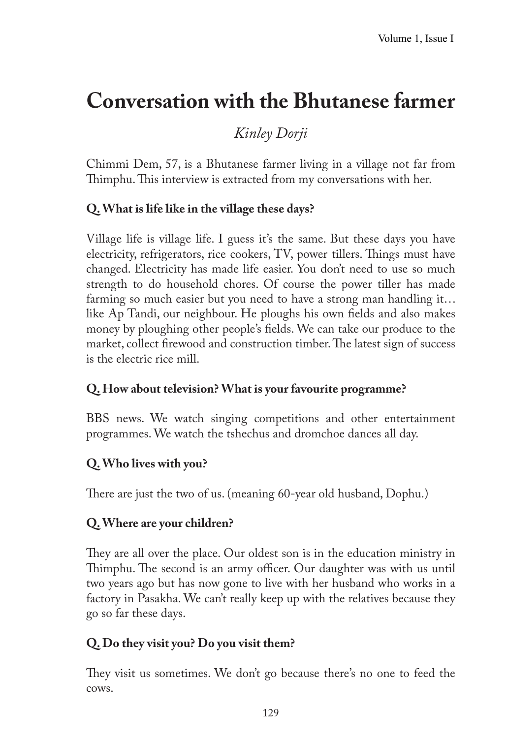# **Conversation with the Bhutanese farmer**

## *Kinley Dorji*

Chimmi Dem, 57, is a Bhutanese farmer living in a village not far from Thimphu. This interview is extracted from my conversations with her.

## **Q. What is life like in the village these days?**

Village life is village life. I guess it's the same. But these days you have electricity, refrigerators, rice cookers, TV, power tillers. Things must have changed. Electricity has made life easier. You don't need to use so much strength to do household chores. Of course the power tiller has made farming so much easier but you need to have a strong man handling it… like Ap Tandi, our neighbour. He ploughs his own fields and also makes money by ploughing other people's fields. We can take our produce to the market, collect firewood and construction timber. The latest sign of success is the electric rice mill.

## **Q. How about television? What is your favourite programme?**

BBS news. We watch singing competitions and other entertainment programmes. We watch the tshechus and dromchoe dances all day.

## **Q. Who lives with you?**

There are just the two of us. (meaning 60-year old husband, Dophu.)

## **Q. Where are your children?**

They are all over the place. Our oldest son is in the education ministry in Thimphu. The second is an army officer. Our daughter was with us until two years ago but has now gone to live with her husband who works in a factory in Pasakha. We can't really keep up with the relatives because they go so far these days.

## **Q. Do they visit you? Do you visit them?**

They visit us sometimes. We don't go because there's no one to feed the cows.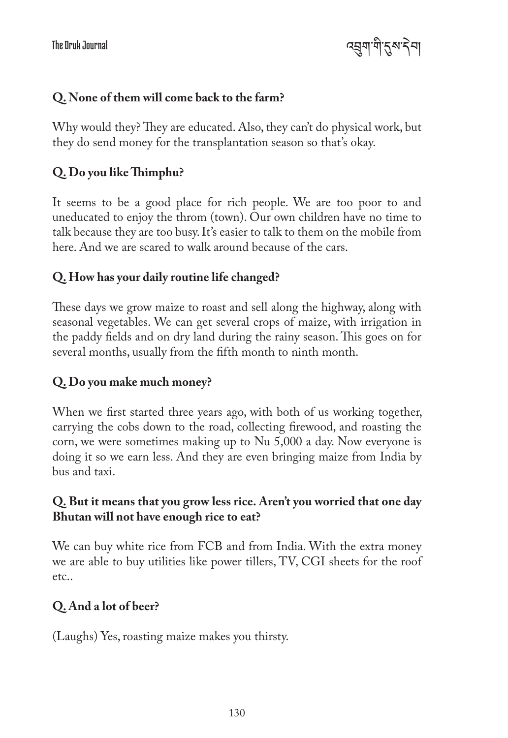འབྲུག་གི་དུས་དེབ།

#### **Q. None of them will come back to the farm?**

Why would they? They are educated. Also, they can't do physical work, but they do send money for the transplantation season so that's okay.

#### **Q. Do you like Thimphu?**

It seems to be a good place for rich people. We are too poor to and uneducated to enjoy the throm (town). Our own children have no time to talk because they are too busy. It's easier to talk to them on the mobile from here. And we are scared to walk around because of the cars.

#### **Q. How has your daily routine life changed?**

These days we grow maize to roast and sell along the highway, along with seasonal vegetables. We can get several crops of maize, with irrigation in the paddy fields and on dry land during the rainy season. This goes on for several months, usually from the fifth month to ninth month.

#### **Q. Do you make much money?**

When we first started three years ago, with both of us working together, carrying the cobs down to the road, collecting firewood, and roasting the corn, we were sometimes making up to Nu 5,000 a day. Now everyone is doing it so we earn less. And they are even bringing maize from India by bus and taxi.

#### **Q. But it means that you grow less rice. Aren't you worried that one day Bhutan will not have enough rice to eat?**

We can buy white rice from FCB and from India. With the extra money we are able to buy utilities like power tillers, TV, CGI sheets for the roof etc..

#### **Q. And a lot of beer?**

(Laughs) Yes, roasting maize makes you thirsty.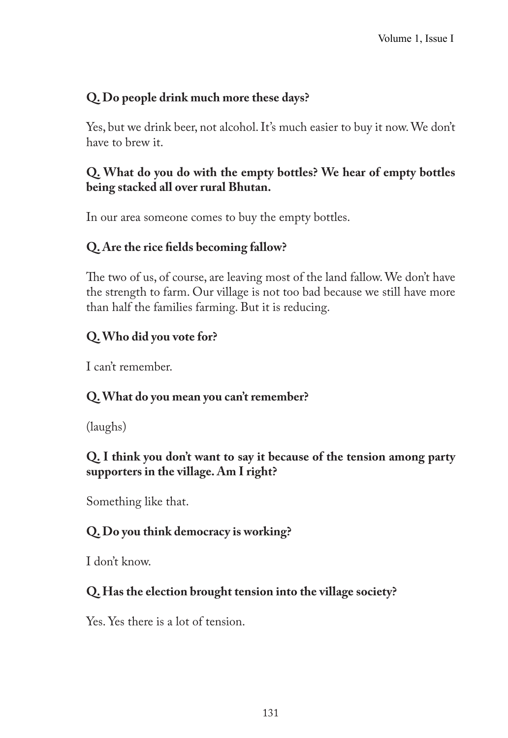## **Q. Do people drink much more these days?**

Yes, but we drink beer, not alcohol. It's much easier to buy it now. We don't have to brew it.

## **Q. What do you do with the empty bottles? We hear of empty bottles being stacked all over rural Bhutan.**

In our area someone comes to buy the empty bottles.

## **Q. Are the rice fields becoming fallow?**

The two of us, of course, are leaving most of the land fallow. We don't have the strength to farm. Our village is not too bad because we still have more than half the families farming. But it is reducing.

## **Q. Who did you vote for?**

I can't remember.

## **Q. What do you mean you can't remember?**

(laughs)

## **Q. I think you don't want to say it because of the tension among party supporters in the village. Am I right?**

Something like that.

## **Q. Do you think democracy is working?**

I don't know.

## **Q. Has the election brought tension into the village society?**

Yes. Yes there is a lot of tension.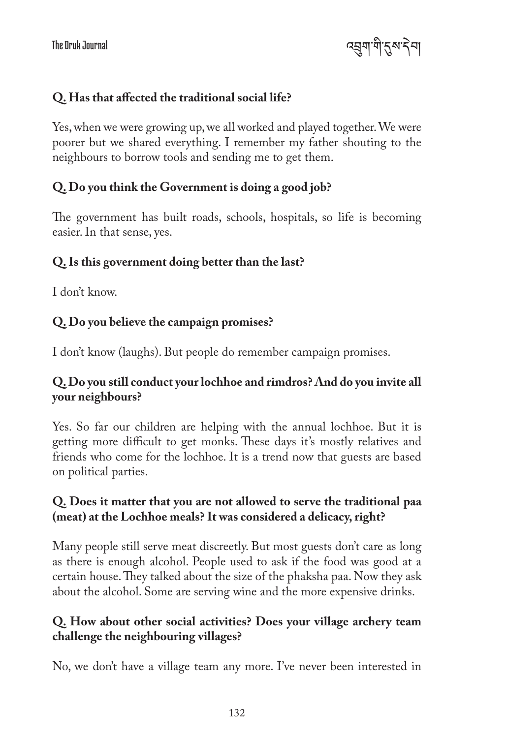འབྲུག་གི་དུས་དེབ།

#### **Q. Has that affected the traditional social life?**

Yes, when we were growing up, we all worked and played together. We were poorer but we shared everything. I remember my father shouting to the neighbours to borrow tools and sending me to get them.

#### **Q. Do you think the Government is doing a good job?**

The government has built roads, schools, hospitals, so life is becoming easier. In that sense, yes.

#### **Q. Is this government doing better than the last?**

I don't know.

#### **Q. Do you believe the campaign promises?**

I don't know (laughs). But people do remember campaign promises.

#### **Q. Do you still conduct your lochhoe and rimdros? And do you invite all your neighbours?**

Yes. So far our children are helping with the annual lochhoe. But it is getting more difficult to get monks. These days it's mostly relatives and friends who come for the lochhoe. It is a trend now that guests are based on political parties.

#### **Q. Does it matter that you are not allowed to serve the traditional paa (meat) at the Lochhoe meals? It was considered a delicacy, right?**

Many people still serve meat discreetly. But most guests don't care as long as there is enough alcohol. People used to ask if the food was good at a certain house. They talked about the size of the phaksha paa. Now they ask about the alcohol. Some are serving wine and the more expensive drinks.

#### **Q. How about other social activities? Does your village archery team challenge the neighbouring villages?**

No, we don't have a village team any more. I've never been interested in